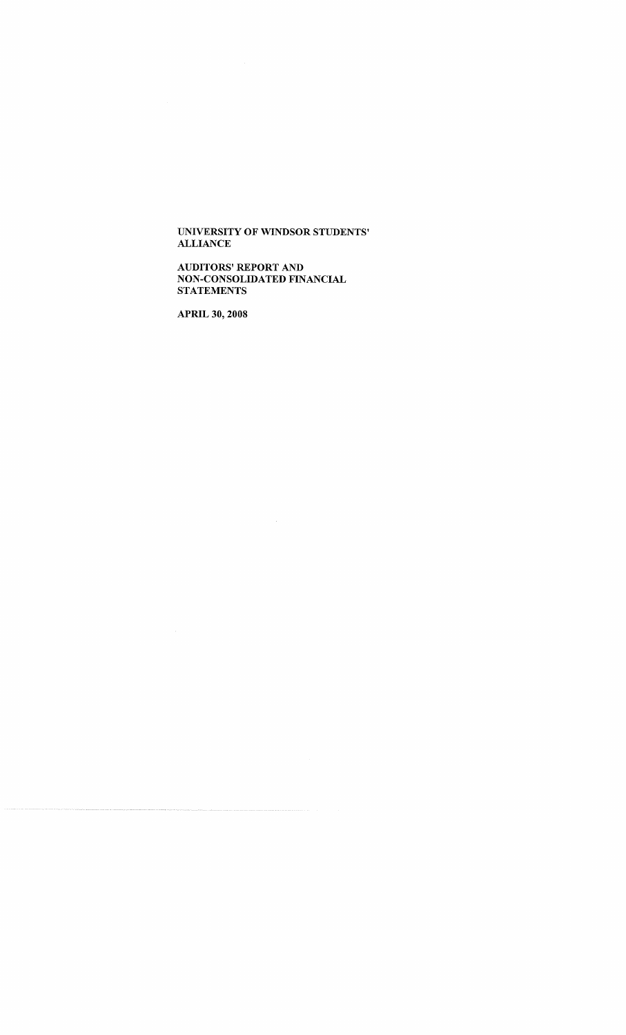AUDITORS' REPORT AND NON-CONSOLIDATED FINANCIAL **STATEMENTS** 

**APRIL 30, 2008**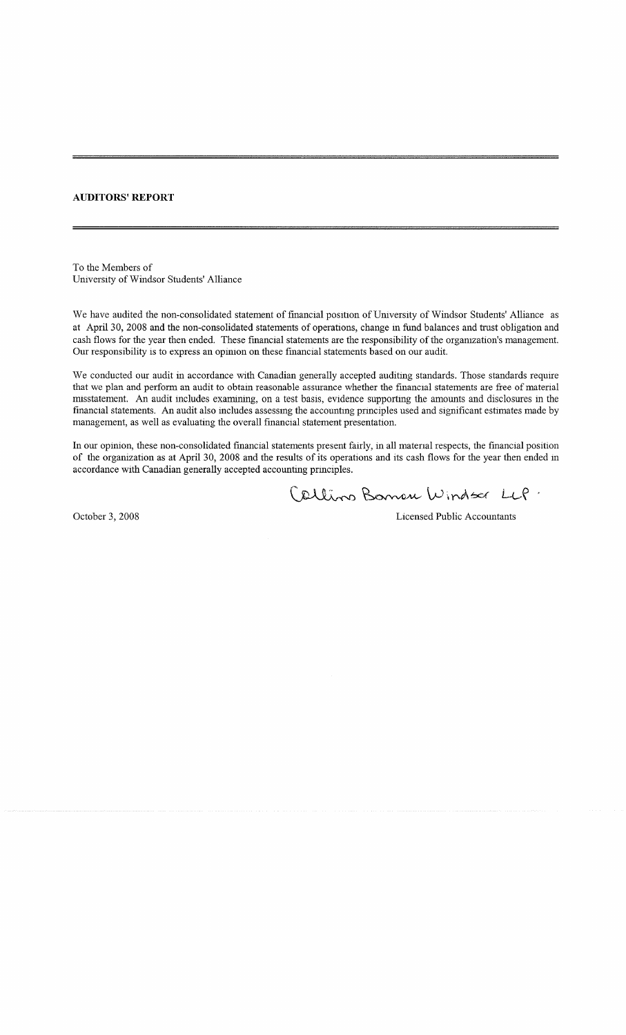### **AUDITORS' REPORT**

To the Members of University of Windsor Students' Alliance

We have audited the non-consolidated statement of financial position of University of Windsor Students' Alliance as at April 30, 2008 and the non-consolidated statements of operations, change in fund balances and trust obligation and cash flows for the year then ended. These financial statements are the responsibility of the orgamzation's management. Our responsibility is to express an opimon on these financial statements based on our audit.

We conducted our audit in accordance with Canadian generally accepted auditing standards. Those standards require that we plan and perform an audit to obtain reasonable assurance whether the financial statements are free of material misstatement. An audit includes examining, on a test basis, evidence supporting the amounts and disclosures in the financial statements. An audit also includes assessing the accounting principles used and significant estimates made by management, as well as evaluating the overall financial statement presentation.

In our opinion, these non-consolidated financial statements present fairly, in all material respects, the financial position of the organization as at April 30, 2008 and the results of its operations and its cash flows for the year then ended in accordance with Canadian generally accepted accounting principles.

Callino Boman Windsor LLP.

October 3, 2008 Licensed Public Accountants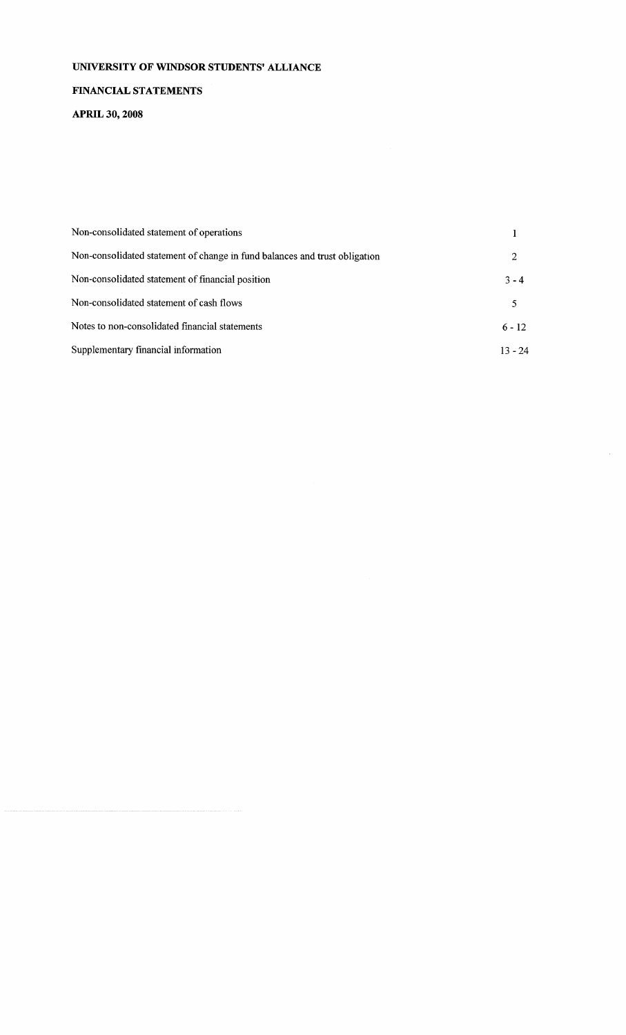### FINANCIAL STATEMENTS

APRIL **30, 2008**

| Non-consolidated statement of operations                                   |           |
|----------------------------------------------------------------------------|-----------|
| Non-consolidated statement of change in fund balances and trust obligation | 2         |
| Non-consolidated statement of financial position                           | $3 - 4$   |
| Non-consolidated statement of cash flows                                   | 5         |
| Notes to non-consolidated financial statements                             | $6 - 12$  |
| Supplementary financial information                                        | $13 - 24$ |

 $\hat{\mathcal{A}}$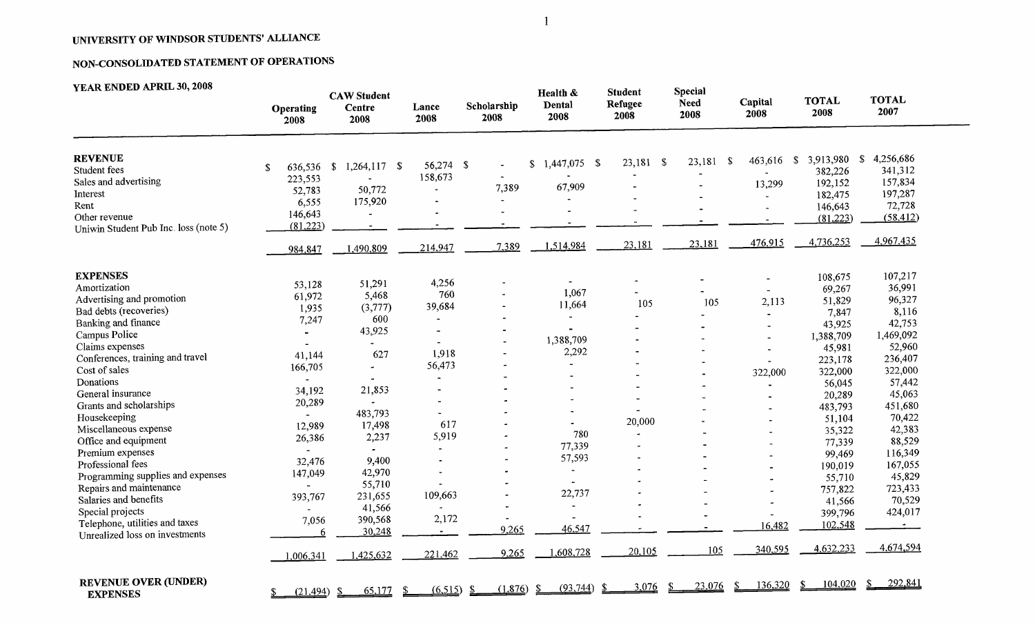# **NON-CONSOLIDATED STATEMENT OF OPERATIONS**

| YEAR ENDED APRIL 30, 2008             | <b>Operating</b><br>2008 | <b>CAW Student</b><br><b>Centre</b><br>2008 | Lance<br>2008            | Scholarship<br>2008   | Health &<br>Dental<br>2008 | <b>Student</b><br>Refugee<br>2008 | <b>Special</b><br><b>Need</b><br>2008 | Capital<br>2008 | <b>TOTAL</b><br>2008 | <b>TOTAL</b><br>2007       |
|---------------------------------------|--------------------------|---------------------------------------------|--------------------------|-----------------------|----------------------------|-----------------------------------|---------------------------------------|-----------------|----------------------|----------------------------|
| <b>REVENUE</b><br>Student fees        | 636,536 \$<br>\$         | $1,264,117$ \$                              | 56,274 \$                |                       | 1,447,075 \$<br>\$         | $23,181$ \$                       | 23,181 \$                             | $463,616$ \$    | 3,913,980<br>382,226 | 4,256,686<br>\$<br>341,312 |
| Sales and advertising                 | 223,553                  | $\sim$                                      | 158,673                  | 7,389                 | 67,909                     |                                   |                                       | 13,299          | 192,152              | 157,834                    |
| Interest                              | 52,783                   | 50,772                                      |                          |                       |                            |                                   |                                       |                 | 182,475              | 197,287                    |
| Rent                                  | 6,555                    | 175,920                                     |                          |                       |                            |                                   |                                       |                 | 146,643              | 72,728                     |
| Other revenue                         | 146,643                  |                                             |                          |                       |                            |                                   |                                       |                 | (81,223)             | (58, 412)                  |
| Uniwin Student Pub Inc. loss (note 5) | (81,223)                 | $\blacksquare$                              |                          |                       |                            |                                   |                                       |                 |                      |                            |
|                                       | 984,847                  | 1,490,809                                   | 214,947                  | 7,389                 | 1,514,984                  | 23,181                            | 23,181                                | 476,915         | 4,736,253            | 4,967,435                  |
| <b>EXPENSES</b>                       |                          |                                             |                          |                       |                            |                                   |                                       |                 | 108,675              | 107,217                    |
| Amortization                          | 53,128                   | 51,291                                      | 4,256                    |                       | $\blacksquare$             |                                   |                                       |                 | 69,267               | 36,991                     |
| Advertising and promotion             | 61,972                   | 5,468                                       | 760                      |                       | 1,067                      |                                   |                                       | 2,113           | 51,829               | 96,327                     |
| Bad debts (recoveries)                | 1,935                    | (3,777)                                     | 39,684                   | $\tilde{\phantom{a}}$ | 11,664                     | 105                               | 105                                   |                 | 7,847                | 8,116                      |
| Banking and finance                   | 7,247                    | 600                                         | $\blacksquare$           |                       | $\sim$                     |                                   |                                       |                 | 43,925               | 42,753                     |
| Campus Police                         |                          | 43,925                                      | $\blacksquare$           |                       |                            |                                   |                                       |                 | 1,388,709            | 1,469,092                  |
| Claims expenses                       |                          |                                             |                          |                       | 1,388,709                  |                                   |                                       |                 | 45,981               | 52,960                     |
| Conferences, training and travel      | 41,144                   | 627                                         | 1,918                    |                       | 2,292                      |                                   |                                       |                 | 223,178              | 236,407                    |
| Cost of sales                         | 166,705                  | ٠                                           | 56,473                   |                       |                            |                                   |                                       |                 | 322,000              | 322,000                    |
| Donations                             |                          | $\Delta$                                    |                          |                       |                            |                                   |                                       | 322,000         | 56,045               | 57,442                     |
| General insurance                     | 34,192                   | 21,853                                      | $\sim$                   |                       |                            |                                   |                                       |                 | 20,289               | 45,063                     |
| Grants and scholarships               | 20,289                   | $\bullet$                                   |                          |                       |                            |                                   |                                       | $\blacksquare$  | 483,793              | 451,680                    |
| Housekeeping                          |                          | 483,793                                     | $\blacksquare$           |                       |                            |                                   |                                       |                 | 51,104               | 70,422                     |
| Miscellaneous expense                 | 12,989                   | 17,498                                      | 617                      |                       |                            | 20,000                            |                                       |                 | 35,322               | 42,383                     |
| Office and equipment                  | 26,386                   | 2,237                                       | 5,919                    |                       | 780                        | $\tilde{\phantom{a}}$             |                                       | $\blacksquare$  | 77,339               | 88,529                     |
| Premium expenses                      |                          |                                             | $\blacksquare$           |                       | 77,339                     |                                   |                                       | $\blacksquare$  | 99,469               | 116,349                    |
| Professional fees                     | 32,476                   | 9,400                                       | $\overline{\phantom{a}}$ | $\tilde{\phantom{a}}$ | 57,593                     |                                   |                                       |                 | 190,019              | 167,055                    |
| Programming supplies and expenses     | 147,049                  | 42,970                                      | $\blacksquare$           |                       |                            |                                   |                                       |                 | 55,710               | 45,829                     |
| Repairs and maintenance               | $\sim$                   | 55,710                                      |                          |                       | $\mathbf{r}$               |                                   |                                       |                 | 757,822              | 723,433                    |
| Salaries and benefits                 | 393,767                  | 231,655                                     | 109,663                  |                       | 22,737                     |                                   |                                       |                 | 41,566               | 70,529                     |
| Special projects                      |                          | 41,566                                      |                          | $\blacksquare$        |                            |                                   |                                       |                 | 399,796              | 424,017                    |
| Telephone, utilities and taxes        | 7,056                    | 390,568                                     | 2,172                    |                       |                            |                                   |                                       |                 | 102,548              | $\sim$                     |
| Unrealized loss on investments        | 6                        | 30,248                                      | $\blacksquare$           | 9,265                 | 46,547                     |                                   |                                       | 16,482          |                      |                            |
|                                       | 1,006,341                | 1,425,632                                   | 221,462                  | 9,265                 | 1,608,728                  | 20,105                            | 105                                   | 340,595         | 4,632,233            | 4,674,594                  |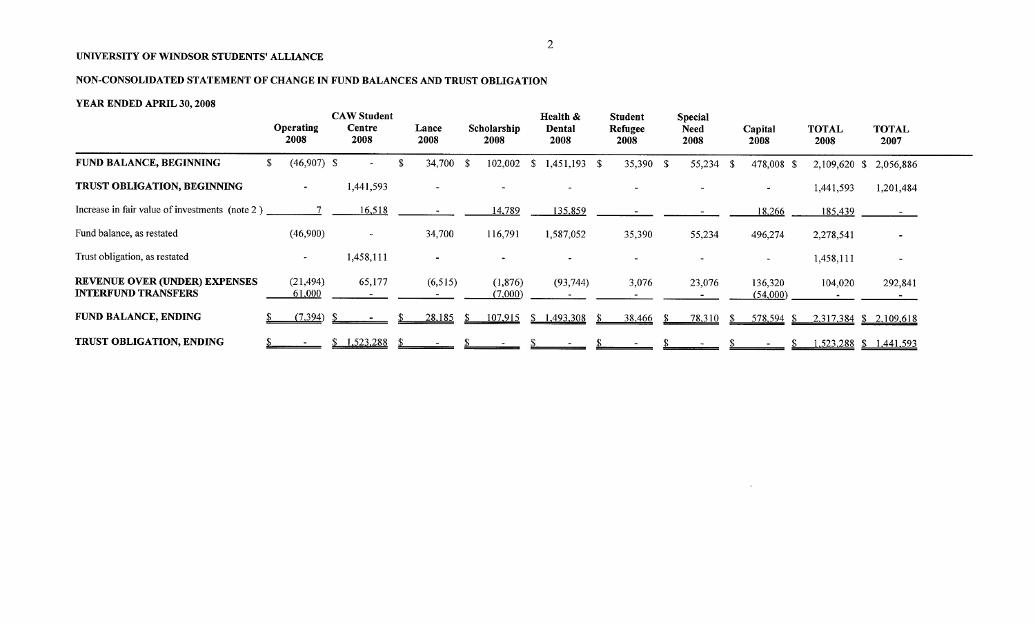# **NON-CONSOLIDATED STATEMENT OF CHANGE IN FUND BALANCES AND TRUST OBLIGATION**

### **YEAR ENDED APRIL 30, 2008**

|                                                                    | <b>Operating</b><br>2008 | <b>CAW Student</b><br>Centre<br>2008 |      | Lance<br>2008            | Scholarship<br>2008 |     | Health &<br>Dental<br>2008 | <b>Student</b><br>Refugee<br>2008 |     | <b>Special</b><br><b>Need</b><br>2008 |     | Capital<br>2008     | <b>TOTAL</b><br>2008   |               | <b>TOTAL</b><br>2007 |
|--------------------------------------------------------------------|--------------------------|--------------------------------------|------|--------------------------|---------------------|-----|----------------------------|-----------------------------------|-----|---------------------------------------|-----|---------------------|------------------------|---------------|----------------------|
| <b>FUND BALANCE, BEGINNING</b>                                     | \$<br>$(46,907)$ \$      | $\sim$ 10 $\,$                       | - 75 | 34,700 \$                | 102,002             | -SI | $1,451,193$ \$             | 35,390 \$                         |     | 55,234 \$                             |     | 478,008 \$          | $2,109,620$ \$         |               | 2,056,886            |
| TRUST OBLIGATION, BEGINNING                                        |                          | 1,441,593                            |      | $\overline{\phantom{a}}$ |                     |     |                            |                                   |     |                                       |     |                     | 1,441,593              |               | 1,201,484            |
| Increase in fair value of investments (note 2)                     |                          | 16,518                               |      |                          | 14,789              |     | 135,859                    |                                   |     |                                       |     | 18,266              | 185,439                |               |                      |
| Fund balance, as restated                                          | (46,900)                 | $\sim$                               |      | 34,700                   | 116,791             |     | 1,587,052                  | 35,390                            |     | 55,234                                |     | 496,274             | 2,278,541              |               |                      |
| Trust obligation, as restated                                      | $\sim$                   | 1,458,111                            |      | $\blacksquare$           |                     |     |                            |                                   |     |                                       |     |                     | 1,458,111              |               | $\blacksquare$       |
| <b>REVENUE OVER (UNDER) EXPENSES</b><br><b>INTERFUND TRANSFERS</b> | (21, 494)<br>61,000      | 65,177                               |      | (6,515)                  | (1, 876)<br>(7,000) |     | (93, 744)                  | 3,076                             |     | 23,076                                |     | 136,320<br>(54,000) | 104,020                |               | 292,841              |
| <b>FUND BALANCE, ENDING</b>                                        | (7,394)                  |                                      |      | 28,185                   | 107,915             | S.  | 1,493,308                  | 38,466                            | -SS | 78,310                                | -SI | $578,594$ \$        | 2,317,384 \$ 2,109,618 |               |                      |
| <b>TRUST OBLIGATION, ENDING</b>                                    |                          | 1,523,288                            |      |                          |                     |     |                            |                                   |     |                                       |     |                     | 1,523,288              | $\mathcal{S}$ | 1,441,593            |

 $\sim$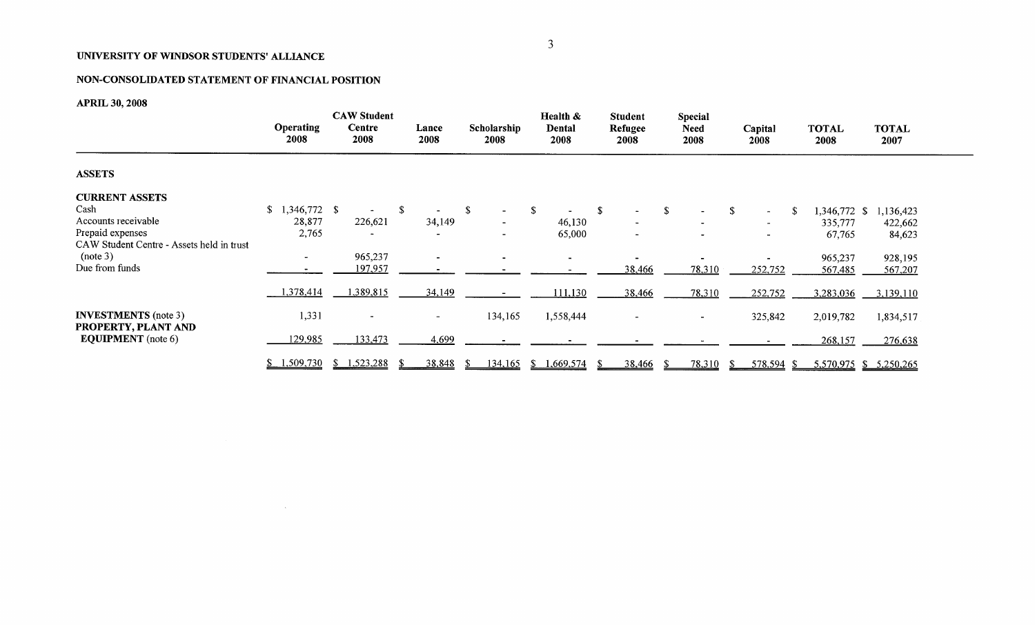# NON-CONSOLIDATED STATEMENT OF FINANCIAL POSITION

 $\sim 10^{-1}$ 

APRIL **30, 2008**

|                                                    |                          | <b>CAW Student</b>       |                          |                         | Health &<br><b>Student</b> |                 | Special                  |                  |                      |                        |
|----------------------------------------------------|--------------------------|--------------------------|--------------------------|-------------------------|----------------------------|-----------------|--------------------------|------------------|----------------------|------------------------|
|                                                    | <b>Operating</b><br>2008 | Centre<br>2008           | Lance<br>2008            | Scholarship<br>2008     | Dental<br>2008             | Refugee<br>2008 | <b>Need</b><br>2008      | Capital<br>2008  | <b>TOTAL</b><br>2008 | <b>TOTAL</b><br>2007   |
| <b>ASSETS</b>                                      |                          |                          |                          |                         |                            |                 |                          |                  |                      |                        |
| <b>CURRENT ASSETS</b>                              |                          |                          |                          |                         |                            |                 |                          |                  |                      |                        |
| Cash                                               | 1,346,772 \$<br>\$       |                          | -S                       | -S<br>$\blacksquare$    | \$                         | $\mathbf{s}$    | <sup>\$</sup>            | \$<br>$\sim$     | 1,346,772 \$         | 1,136,423              |
| Accounts receivable                                | 28,877                   | 226,621                  | 34,149                   | $\blacksquare$          | 46,130                     |                 |                          | $\blacksquare$   | 335,777              | 422,662                |
| Prepaid expenses                                   | 2,765                    |                          | $\overline{\phantom{0}}$ |                         | 65,000                     |                 | $\blacksquare$           |                  | 67,765               | 84,623                 |
| CAW Student Centre - Assets held in trust          |                          |                          |                          |                         |                            |                 |                          |                  |                      |                        |
| (note 3)                                           | $\overline{\phantom{a}}$ | 965,237                  |                          |                         | $\sim$                     |                 |                          |                  | 965,237              | 928,195                |
| Due from funds                                     |                          | 197,957                  |                          |                         |                            | 38,466          | 78,310                   | 252,752          | 567,485              | 567,207                |
|                                                    | 1,378,414                | 1,389,815                | 34,149                   |                         | 111,130                    | 38,466          | 78,310                   | 252,752          | 3,283,036            | 3,139,110              |
| <b>INVESTMENTS</b> (note 3)<br>PROPERTY, PLANT AND | 1,331                    | $\overline{\phantom{a}}$ | $\overline{\phantom{a}}$ | 134,165                 | 1,558,444                  |                 | $\overline{\phantom{a}}$ | 325,842          | 2,019,782            | 1,834,517              |
| <b>EQUIPMENT</b> (note 6)                          | 129,985                  | 133,473                  | 4,699                    |                         |                            |                 |                          |                  | 268,157              | 276,638                |
|                                                    | \$1,509,730              | 1,523,288<br>S.          | 38,848                   | 134,165<br><sup>S</sup> | .669,574                   | 38,466          | 78,310                   | 578,594 \$<br>-S |                      | 5,570,975 \$ 5,250,265 |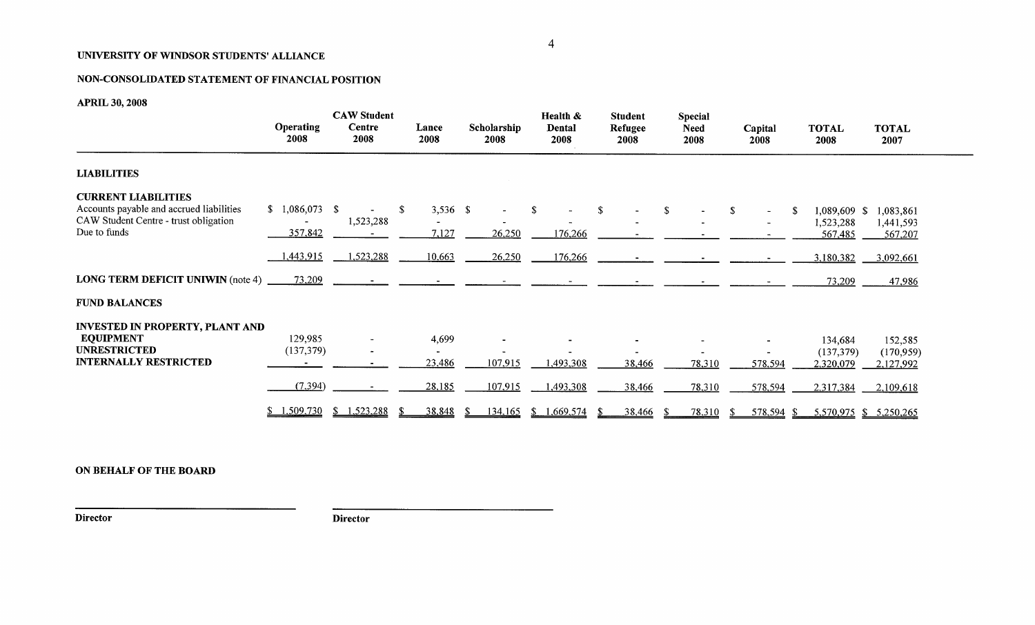### NON-CONSOLIDATED STATEMENT OF FINANCIAL POSITION

APRIL **30, 2008**

|                                                                                                                                 | <b>Operating</b><br>2008                | <b>CAW Student</b><br>Centre<br>2008 | Lance<br>2008                                 | Scholarship<br>2008  | Health &<br>Dental<br>2008 | <b>Student</b><br>Refugee<br>2008 | <b>Special</b><br><b>Need</b><br>2008 | Capital<br>2008      | <b>TOTAL</b><br>2008                              | <b>TOTAL</b><br>2007                           |
|---------------------------------------------------------------------------------------------------------------------------------|-----------------------------------------|--------------------------------------|-----------------------------------------------|----------------------|----------------------------|-----------------------------------|---------------------------------------|----------------------|---------------------------------------------------|------------------------------------------------|
| <b>LIABILITIES</b>                                                                                                              |                                         |                                      |                                               |                      |                            |                                   |                                       |                      |                                                   |                                                |
| <b>CURRENT LIABILITIES</b><br>Accounts payable and accrued liabilities<br>CAW Student Centre - trust obligation<br>Due to funds | $$1,086,073$ \;<br>357,842<br>1,443,915 | 1,523,288<br>1,523,288               | $\mathbb{S}$<br>$3,536$ \$<br>7,127<br>10,663 | 26,250<br>26,250     | -S<br>176,266<br>176,266   |                                   |                                       | -S<br>$\blacksquare$ | 1,089,609 \$<br>1,523,288<br>567,485<br>3,180,382 | 1,083,861<br>1,441,593<br>567,207<br>3,092,661 |
| <b>LONG TERM DEFICIT UNIWIN</b> (note 4)                                                                                        | 73,209                                  |                                      |                                               |                      |                            |                                   |                                       |                      | 73,209                                            | 47,986                                         |
| <b>FUND BALANCES</b>                                                                                                            |                                         |                                      |                                               |                      |                            |                                   |                                       |                      |                                                   |                                                |
| <b>INVESTED IN PROPERTY, PLANT AND</b><br><b>EQUIPMENT</b><br><b>UNRESTRICTED</b><br><b>INTERNALLY RESTRICTED</b>               | 129,985<br>(137, 379)                   | $\blacksquare$                       | 4,699<br>23,486                               | 107,915              | 1,493,308                  | 38,466                            | 78,310                                | 578,594              | 134,684<br>(137, 379)<br>2,320,079                | 152,585<br>(170, 959)<br>2,127,992             |
|                                                                                                                                 | (7, 394)                                |                                      | 28,185                                        | 107,915              | 1,493,308                  | 38,466                            | 78,310                                | 578,594              | 2,317,384                                         | 2,109,618                                      |
|                                                                                                                                 | 1,509,730<br>S.                         | \$1,523,288                          | 38,848<br>-SS                                 | <u>134,165</u><br>-8 | \$1,669,574                | <u>38,466</u>                     | 78,310<br>- \$                        | 578,594 \$<br>-S     |                                                   | 5,570,975 \$ 5,250,265                         |

ON BEHALF OF THE BOARD

**Director Director**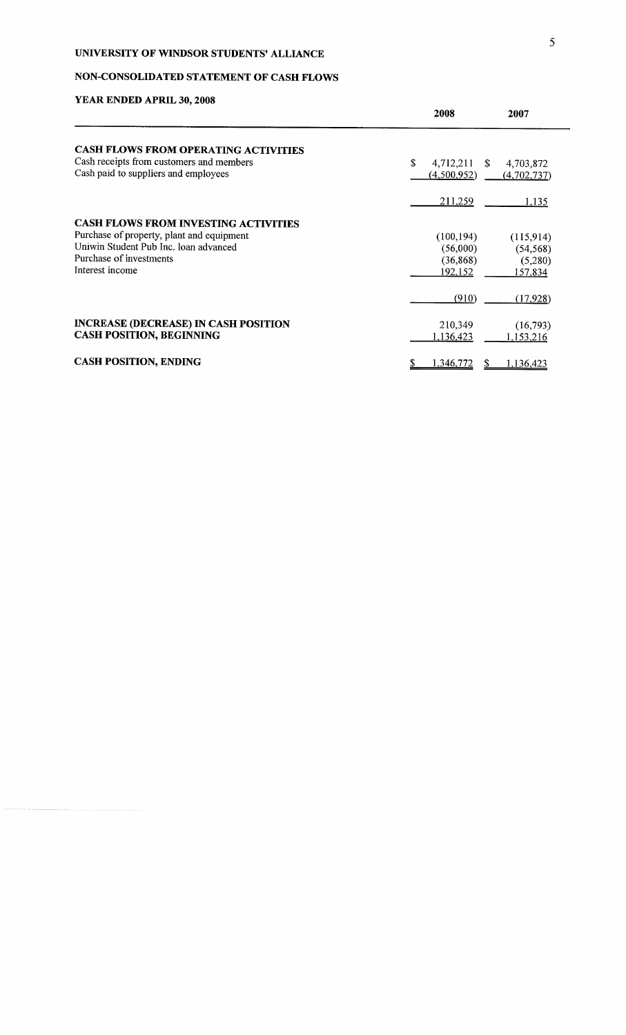# NON-CONSOLIDATED STATEMENT OF CASH FLOWS

|                                                                                                                                                                                 | 2008                                           | 2007                                         |
|---------------------------------------------------------------------------------------------------------------------------------------------------------------------------------|------------------------------------------------|----------------------------------------------|
| <b>CASH FLOWS FROM OPERATING ACTIVITIES</b>                                                                                                                                     |                                                |                                              |
| Cash receipts from customers and members<br>Cash paid to suppliers and employees                                                                                                | \$<br>4,712,211<br>S.<br>(4,500,952)           | 4,703,872<br>(4,702,737)                     |
|                                                                                                                                                                                 | 211,259                                        | 1,135                                        |
| <b>CASH FLOWS FROM INVESTING ACTIVITIES</b><br>Purchase of property, plant and equipment<br>Uniwin Student Pub Inc. loan advanced<br>Purchase of investments<br>Interest income | (100, 194)<br>(56,000)<br>(36, 868)<br>192,152 | (115,914)<br>(54, 568)<br>(5,280)<br>157,834 |
|                                                                                                                                                                                 | (910)                                          | (17, 928)                                    |
| <b>INCREASE (DECREASE) IN CASH POSITION</b><br><b>CASH POSITION, BEGINNING</b>                                                                                                  | 210,349<br>1,136,423                           | (16,793)<br>1,153,216                        |
| <b>CASH POSITION, ENDING</b>                                                                                                                                                    | 1,346,772                                      | 1,136,423                                    |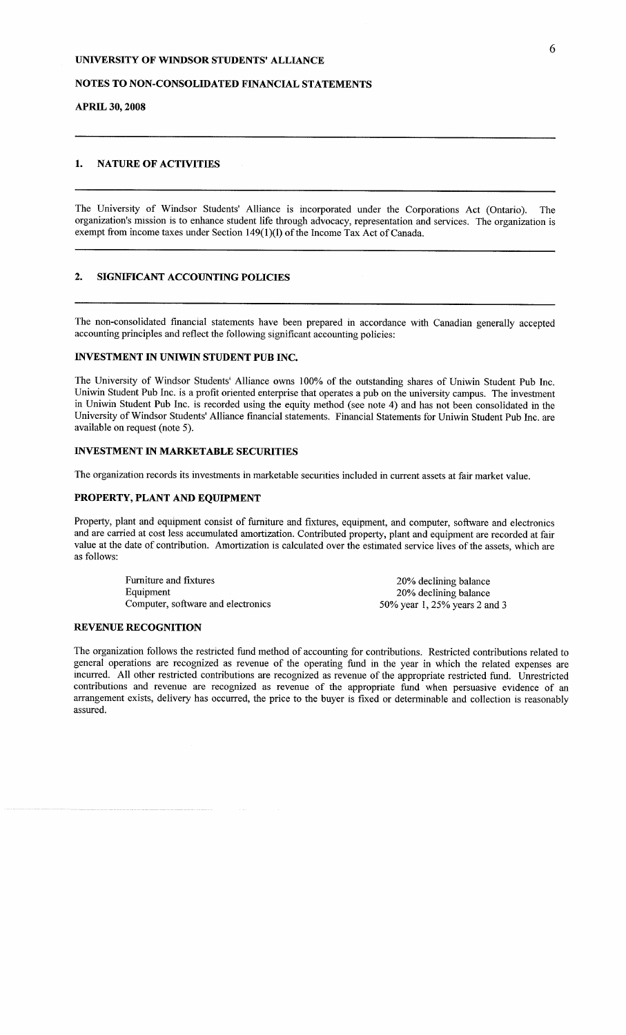### NOTES TO NON-CONSOLIDATED FINANCIAL STATEMENTS

#### APRIL **30, 2008**

### 1. NATURE OF ACTIVITIES

The University of Windsor Students' Alliance is incorporated under the Corporations Act (Ontario). The organization's mission is to enhance student life through advocacy, representation and services. The organization is exempt from income taxes under Section 149(1)(1) of the Income Tax Act of Canada.

### 2. SIGNIFICANT ACCOUNTING POLICIES

The non-consolidated financial statements have been prepared in accordance with Canadian generally accepted accounting principles and reflect the following significant accounting policies:

#### INVESTMENT IN UNIWIN STUDENT PUB INC.

The University of Windsor Students' Alliance owns 100% of the outstanding shares of Uniwin Student Pub Inc. Uniwin Student Pub Inc. is a profit oriented enterprise that operates a pub on the university campus. The investment in Uniwin Student Pub Inc. is recorded using the equity method (see note 4) and has not been consolidated in the University of Windsor Students' Alliance financial statements. Financial Statements for Uniwin Student Pub Inc. are available on request (note 5).

#### INVESTMENT IN MARKETABLE SECURITIES

The organization records its investments in marketable securities included in current assets at fair market value.

#### PROPERTY, PLANT AND EQUIPMENT

Property, plant and equipment consist of furniture and fixtures, equipment, and computer, software and electronics and are carried at cost less accumulated amortization. Contributed property, plant and equipment are recorded at fair value at the date of contribution. Amortization is calculated over the estimated service lives of the assets, which are as follows:

> Furniture and fixtures Equipment Computer, software and electronics

20% declining balance 20% declining balance 50% year 1, 25% years 2 and 3

#### REVENUE RECOGNITION

The organization follows the restricted fund method of accounting for contributions. Restricted contributions related to general operations are recognized as revenue of the operating fund in the year in which the related expenses are incurred. All other restricted contributions are recognized as revenue of the appropriate restricted fund. Unrestricted contributions and revenue are recognized as revenue of the appropriate fund when persuasive ewdence of an arrangement exists, delivery has occurred, the price to the buyer is fixed or determinable and collection is reasonably assured.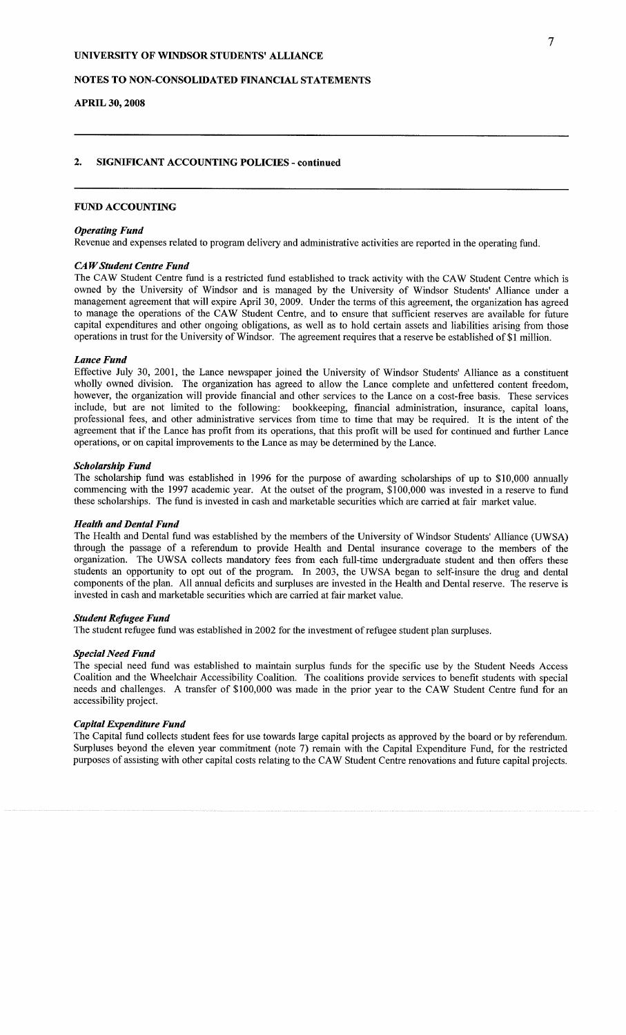### NOTES TO NON-CONSOLIDATED FINANCIAL STATEMENTS

#### **APRIL 30, 2008**

### **2. SIGNIFICANT ACCOUNTING POLICIES - continued**

#### FUND ACCOUNTING

#### *Operating Fund*

Revenue and expenses related to program delivery and administrative activities are reported in the operating fund.

#### *CA W Student Centre Fund*

The CAW Student Centre fund is a restricted fund established to track activity with the CAW Student Centre which is owned by the University of Windsor and is managed by the University of Windsor Students' Alliance under a management agreement that will expire April 30, 2009. Under the terms of this agreement, the organization has agreed to manage the operations of the CAW Student Centre, and to ensure that sufficient reserves are available for future capital expenditures and other ongoing obligations, as well as to hold certain assets and liabilities arising from those operations in trust for the University of Windsor. The agreement requires that a reserve be established of \$1 million.

#### *Lance Fund*

Effective July 30, 2001, the Lance newspaper joined the University of Windsor Students' Alliance as a constituent wholly owned division. The organization has agreed to allow the Lance complete and unfettered content freedom, however, the organization will provide financial and other services to the Lance on a cost-free basis. These services include, but are not limited to the following: bookkeeping, financial administration, insurance, capital loans, professional fees, and other administrative services from time to time that may be required. It is the intent of the agreement that if the Lance has profit from its operations, that this profit will be used for continued and further Lance operations, or on capital improvements to the Lance as may be determined by the Lance.

#### *Scholarship Fund*

The scholarship fund was established in 1996 for the purpose of awarding scholarships of up to \$10,000 annually commencing with the 1997 academic year. At the outset of the program, \$100,000 was invested in a reserve to fund these scholarships. The fund is invested in cash and marketable securities which are carried at fair market value.

#### *Health and Dental Fund*

The Health and Dental fund was established by the members of the University of Windsor Students' Alliance (UWSA) through the passage of a referendum to provide Health and Dental insurance coverage to the members of the organization. The UWSA collects mandatory fees from each full-time undergraduate student and then offers these students an opportunity to opt out of the program. In 2003, the UWSA began to self-insure the drug and dental components of the plan. All annual deficits and surpluses are invested in the Health and Dental reserve. The reserve is invested in cash and marketable securities which are carried at fair market value.

#### *Student Refugee Fund*

The student refugee fund was established in 2002 for the investment of refugee student plan surpluses.

#### *Special Need Fund*

The special need fund was established to maintain surplus funds for the specific use by the Student Needs Access Coalition and the Wheelchair Accessibility Coalition. The coalitions provide services to benefit students with special needs and challenges. A transfer of \$100,000 was made in the prior year to the CAW Student Centre fund for an accessibility project.

#### *Capital Expenditure Fund*

The Capital fund collects student fees for use towards large capital projects as approved by the board or by referendum. Surpluses beyond the eleven year commitment (note 7) remain with the Capital Expenditure Fund, for the restricted purposes of assisting with other capital costs relating to the CAW Student Centre renovations and future capital projects.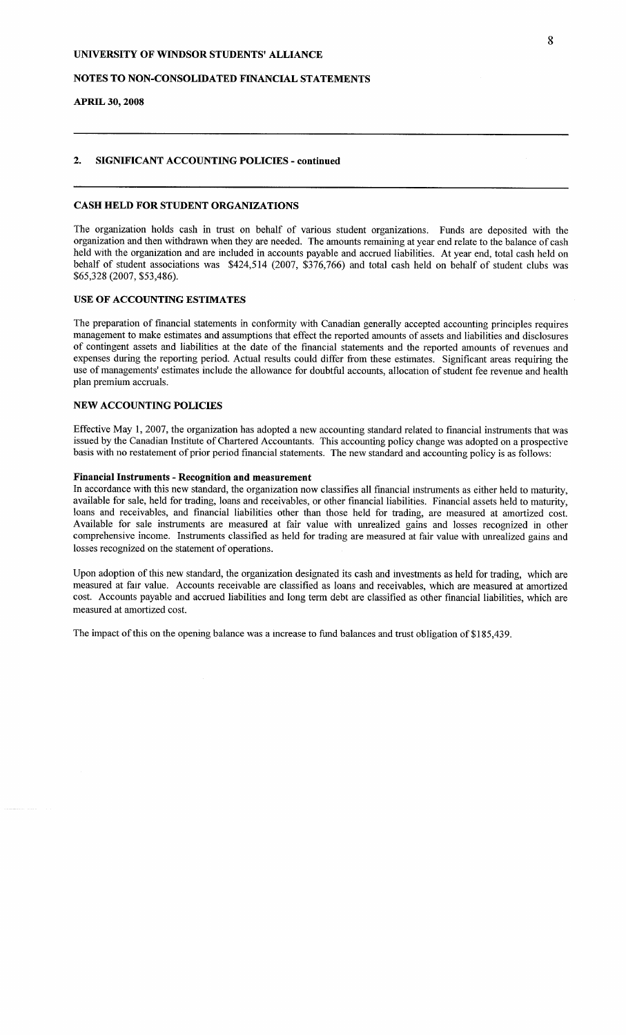#### NOTES TO NON-CONSOLIDATED FINANCIAL STATEMENTS

### **APRIL 30, 2008**

### **2. SIGNIFICANT ACCOUNTING POLICIES - continued**

### **CASH HELD FOR STUDENT ORGANIZATIONS**

The organization holds cash in trust on behalf of various student organizations. Funds are deposited with the organization and then withdrawn when they are needed. The amounts remaining at year end relate to the balance of cash held with the organization and are included in accounts payable and accrued liabilities. At year end, total cash held on behalf of student associations was \$424,514 (2007, \$376,766) and total cash held on behalf of student clubs was \$65,328 (2007, \$53,486).

#### USE OF ACCOUNTING ESTIMATES

The preparation of financial statements in conformity with Canadian generally accepted accounting principles requires management to make estimates and assumptions that effect the reported amounts of assets and liabilities and disclosures of contingent assets and liabilities at the date of the financial statements and the reported amounts of revenues and expenses during the reporting period. Actual results could differ from these estimates. Significant areas requiring the use of managements' estimates include the allowance for doubtful accounts, allocation of student fee revenue and health plan premium accruals.

#### NEW ACCOUNTING POLICIES

Effective May 1, 2007, the organization has adopted a new accounting standard related to financial instruments that was issued by the Canadian Institute of Chartered Accountants. This accounting policy change was adopted on a prospective basis with no restatement of prior period financial statements. The new standard and accounting policy is as follows:

### **Financial Instruments - Recognition and measurement**

In accordance with this new standard, the organization now classifies all financial instruments as either held to maturity, available for sale, held for trading, loans and receivables, or other financial liabilities. Financial assets held to maturity, loans and receivables, and financial liabilities other than those held for trading, are measured at amortized cost. Available for sale instruments are measured at fair value with unrealized gains and losses recognized in other comprehensive income. Instruments classified as held for trading are measured at fair value with unrealized gains and losses recognized on the statement of operations.

Upon adoption of this new standard, the organization designated its cash and investments as held for trading, which are measured at fair value. Accounts receivable are classified as loans and receivables, which are measured at amortized cost. Accounts payable and accrued liabilities and long term debt are classified as other financial liabilities, which are measured at amortized cost.

The impact of this on the opening balance was a mcrease to fund balances and trust obligation of \$185,439.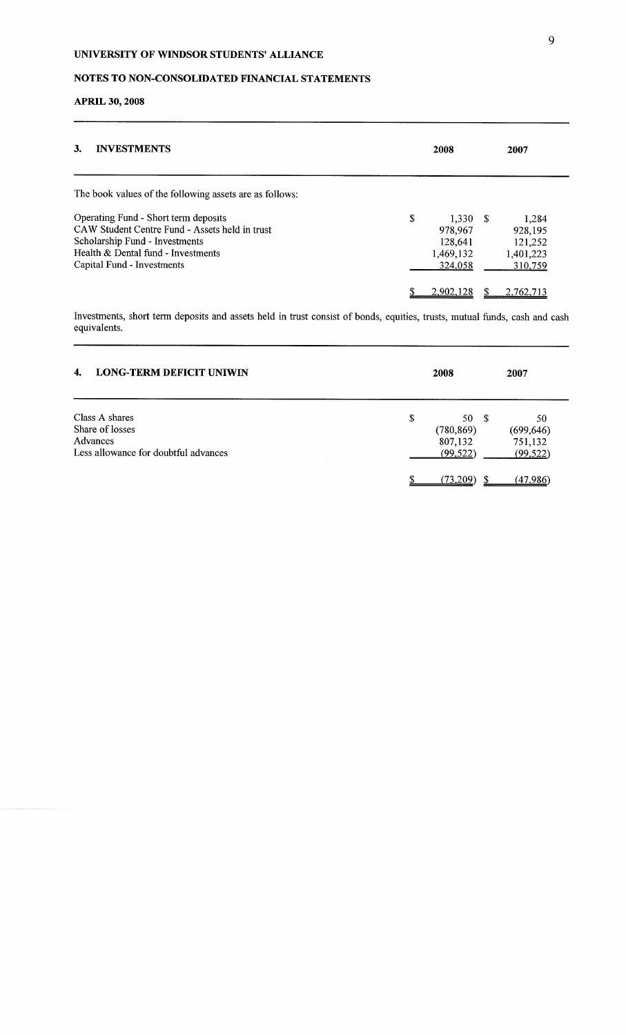# NOTES TO NON-CONSOLIDATED FINANCIAL STATEMENTS

# APRIL **30, 2008**

| 3.<br><b>INVESTMENTS</b>                                                                                                                                                                     | 2008                                                       | 2007                                                |  |
|----------------------------------------------------------------------------------------------------------------------------------------------------------------------------------------------|------------------------------------------------------------|-----------------------------------------------------|--|
| The book values of the following assets are as follows:                                                                                                                                      |                                                            |                                                     |  |
| Operating Fund - Short term deposits<br>CAW Student Centre Fund - Assets held in trust<br>Scholarship Fund - Investments<br>Health & Dental fund - Investments<br>Capital Fund - Investments | \$<br>1.330S<br>978,967<br>128,641<br>1,469,132<br>324,058 | 1,284<br>928,195<br>121,252<br>1,401,223<br>310,759 |  |
|                                                                                                                                                                                              | 2,902,128                                                  | 2.762.713                                           |  |

Investments, short term deposits and assets held in trust consist of bonds, equities, trusts, mutual funds, cash and cash equivalents.

| <b>LONG-TERM DEFICIT UNIWIN</b><br>4.                                                 | 2008                                              | 2007                                     |
|---------------------------------------------------------------------------------------|---------------------------------------------------|------------------------------------------|
| Class A shares<br>Share of losses<br>Advances<br>Less allowance for doubtful advances | \$<br>50 \$<br>(780, 869)<br>807,132<br>(99, 522) | 50<br>(699, 646)<br>751,132<br>(99, 522) |
|                                                                                       | (73,209)                                          | (47.986)                                 |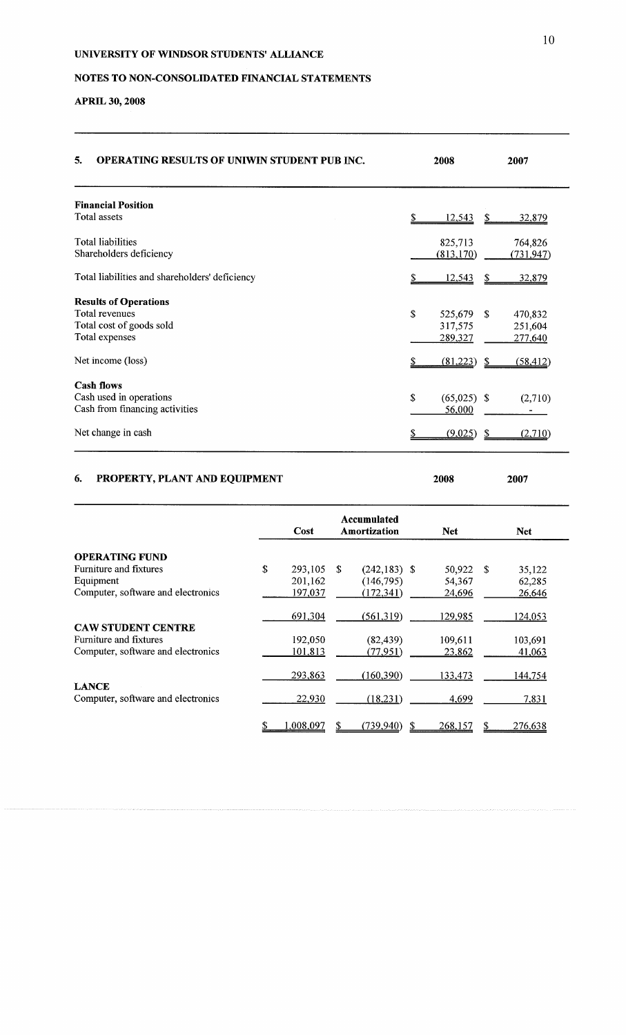# NOTES TO NON-CONSOLIDATED FINANCIAL STATEMENTS

# APRIL **30, 2008**

| 5.<br><b>OPERATING RESULTS OF UNIWIN STUDENT PUB INC.</b>                                    | 2008                                          | 2007                                           |
|----------------------------------------------------------------------------------------------|-----------------------------------------------|------------------------------------------------|
| <b>Financial Position</b>                                                                    |                                               |                                                |
| Total assets                                                                                 | <u>12,543</u>                                 | S<br>32,879                                    |
| <b>Total liabilities</b><br>Shareholders deficiency                                          | 825,713<br>(813, 170)                         | 764,826<br>(731, 947)                          |
| Total liabilities and shareholders' deficiency                                               | 12,543                                        | -\$<br>32,879                                  |
| <b>Results of Operations</b><br>Total revenues<br>Total cost of goods sold<br>Total expenses | $\mathbb{S}$<br>525,679<br>317,575<br>289,327 | $\mathcal{S}$<br>470,832<br>251,604<br>277,640 |
| Net income (loss)                                                                            | (81,223)                                      | (58, 412)<br>-S                                |
| <b>Cash flows</b><br>Cash used in operations<br>Cash from financing activities               | \$<br>$(65,025)$ \$<br>56,000                 | (2,710)                                        |
| Net change in cash                                                                           | (9,025)                                       | (2,710)<br>S                                   |

# 6. PROPERTY, PLANT AND EQUIPMENT **<sup>2008</sup> <sup>2007</sup>**

|                                                    |    | Cost      |    | Accumulated<br>Amortization | <b>Net</b> |      | <b>Net</b> |
|----------------------------------------------------|----|-----------|----|-----------------------------|------------|------|------------|
| <b>OPERATING FUND</b>                              |    |           |    |                             |            |      |            |
| Furniture and fixtures                             | \$ | 293,105   | -S | $(242, 183)$ \$             | 50,922     | - \$ | 35,122     |
| Equipment                                          |    | 201,162   |    | (146, 795)                  | 54,367     |      | 62,285     |
| Computer, software and electronics                 |    | 197,037   |    | (172, 341)                  | 24,696     |      | 26,646     |
|                                                    |    | 691,304   |    | (561,319)                   | 129,985    |      | 124,053    |
| <b>CAW STUDENT CENTRE</b>                          |    |           |    |                             |            |      |            |
| Furniture and fixtures                             |    | 192,050   |    | (82, 439)                   | 109,611    |      | 103,691    |
| Computer, software and electronics                 |    | 101,813   |    | (77, 951)                   | 23,862     |      | 41,063     |
|                                                    |    | 293,863   |    | (160, 390)                  | 133,473    |      | 144,754    |
| <b>LANCE</b><br>Computer, software and electronics |    | 22,930    |    | (18,231)                    | 4,699      |      | 7,831      |
|                                                    | S  | 1,008,097 |    | (739, 940)                  | 268,157    |      | 276,638    |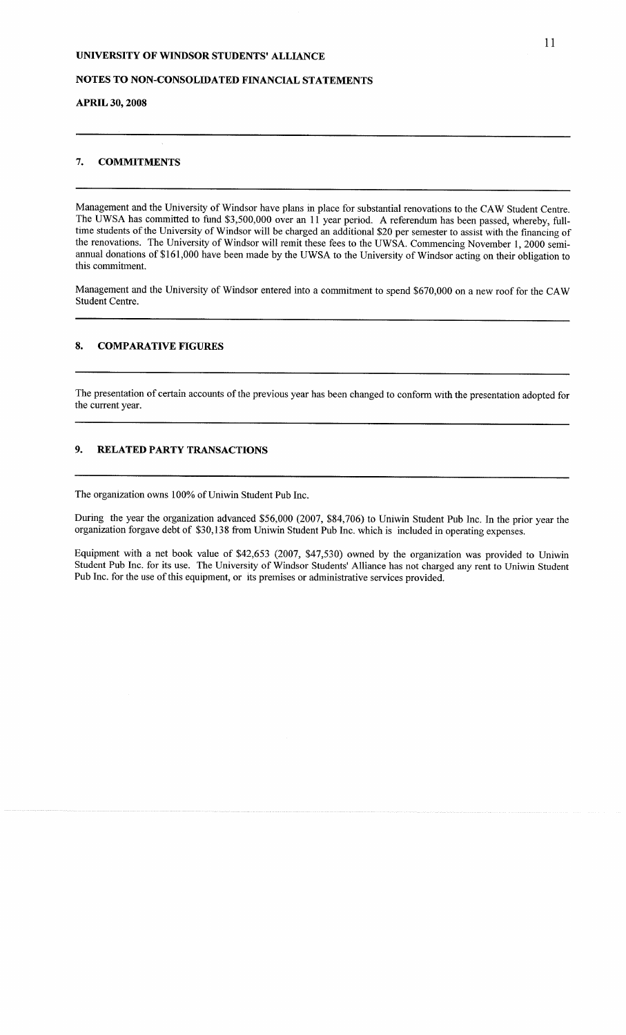### NOTES TO NON-CONSOLIDATED FINANCIAL STATEMENTS

#### APRIL **30, 2008**

#### **7. COMMITMENTS**

Management and the University of Windsor have plans in place for substantial renovations to the CAW Student Centre. The UWSA has committed to fund \$3,500,000 over an 11 year period. A referendum has been passed, whereby, fulltime students of the University of Windsor will be charged an additional \$20 per semester to assist with the financing of the renovations. The University of Windsor will remit these fees to the UWSA. Commencing November 1, 2000 semiannual donations of \$161,000 have been made by the UWSA to the University of Windsor acting on their obligation to this commitment.

Management and the University of Windsor entered into a commitment to spend \$670,000 on a new roof for the CAW Student Centre.

#### 8. COMPARATIVE FIGURES

The presentation of certain accounts of the previous year has been changed to conform with the presentation adopted for the current year.

### 9. RELATED PARTY TRANSACTIONS

The organization owns 100% of Uniwin Student Pub Inc.

During the year the organization advanced \$56,000 (2007, \$84,706) to Uniwin Student Pub Inc. In the prior year the organization forgave debt of \$30,138 from Uniwin Student Pub Inc. which is included in operating expenses.

Equipment with a net book value of \$42,653 (2007, \$47,530) owned by the organization was provided to Uniwin Student Pub Inc. for its use. The University of Windsor Students' Alliance has not charged any rent to Uniwin Student Pub Inc. for the use of this equipment, or its premises or administrative services provided.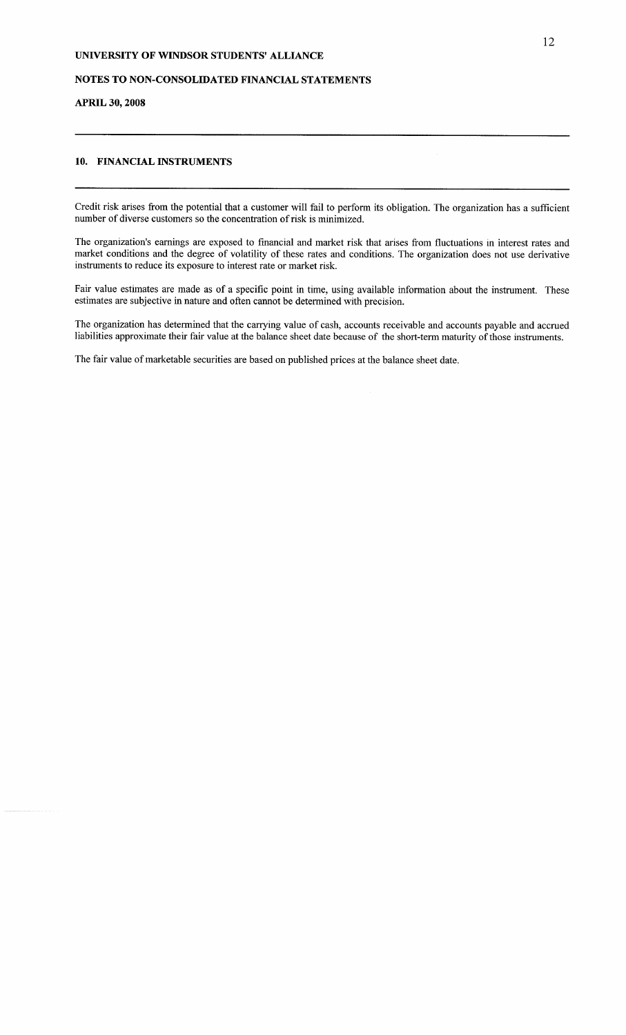### NOTES TO NON-CONSOLIDATED FINANCIAL STATEMENTS

### APRIL **30, 2008**

#### 10. FINANCIAL INSTRUMENTS

Credit risk arises from the potential that a customer will fail to perform its obligation. The organization has a sufficient number of diverse customers so the concentration of risk is minimized.

The organization's earnings are exposed to financial and market risk that arises from fluctuations in interest rates and market conditions and the degree of volatility of these rates and conditions. The organization does not use derivative instruments to reduce its exposure to interest rate or market risk.

Fair value estimates are made as of a specific point in time, using available information about the instrument. These estimates are subjective in nature and often cannot be determined with precision.

The organization has determined that the carrying value of cash, accounts receivable and accounts payable and accrued liabilities approximate their fair value at the balance sheet date because of the short-term maturity of those instruments.

The fair value of marketable securities are based on published prices at the balance sheet date.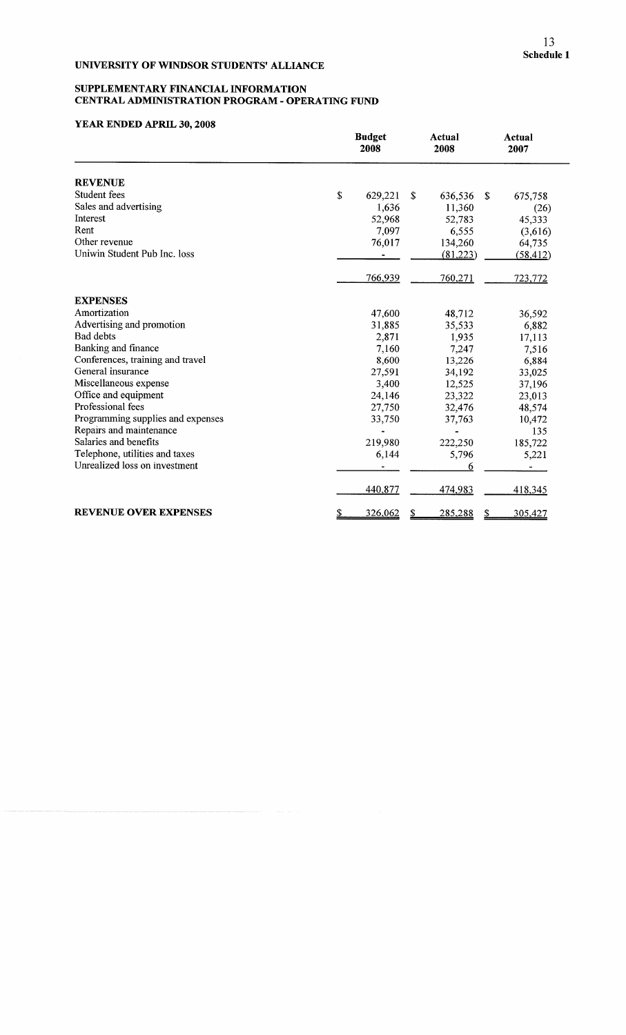#### **SUPPLEMENTARY FINANCIAL INFORMATION CENTRAL ADMINISTRATION PROGRAM - OPERATING FUND**

|                                   | <b>Budget</b><br>2008 | <b>Actual</b><br>2008 | <b>Actual</b><br>2007 |
|-----------------------------------|-----------------------|-----------------------|-----------------------|
| <b>REVENUE</b>                    |                       |                       |                       |
| Student fees                      | \$<br>629,221         | \$<br>636,536         | -S<br>675,758         |
| Sales and advertising             | 1,636                 | 11,360                | (26)                  |
| Interest                          | 52,968                | 52,783                | 45,333                |
| Rent                              | 7,097                 | 6,555                 | (3,616)               |
| Other revenue                     | 76,017                | 134,260               | 64,735                |
| Uniwin Student Pub Inc. loss      |                       | (81,223)              | (58, 412)             |
|                                   | 766,939               | 760,271               | 723,772               |
| <b>EXPENSES</b>                   |                       |                       |                       |
| Amortization                      | 47,600                | 48,712                | 36,592                |
| Advertising and promotion         | 31,885                | 35,533                | 6,882                 |
| <b>Bad debts</b>                  | 2,871                 | 1,935                 | 17,113                |
| Banking and finance               | 7,160                 | 7,247                 | 7,516                 |
| Conferences, training and travel  | 8,600                 | 13,226                | 6,884                 |
| General insurance                 | 27,591                | 34,192                | 33,025                |
| Miscellaneous expense             | 3,400                 | 12,525                | 37,196                |
| Office and equipment              | 24,146                | 23,322                | 23,013                |
| Professional fees                 | 27,750                | 32,476                | 48,574                |
| Programming supplies and expenses | 33,750                | 37,763                | 10,472                |
| Repairs and maintenance           |                       |                       | 135                   |
| Salaries and benefits             | 219,980               | 222,250               | 185,722               |
| Telephone, utilities and taxes    | 6,144                 | 5,796                 | 5,221                 |
| Unrealized loss on investment     |                       | 6                     |                       |
|                                   | 440,877               | 474,983               | 418,345               |
| <b>REVENUE OVER EXPENSES</b>      | 326,062<br>\$         | 285,288               | 305,427<br><u>\$</u>  |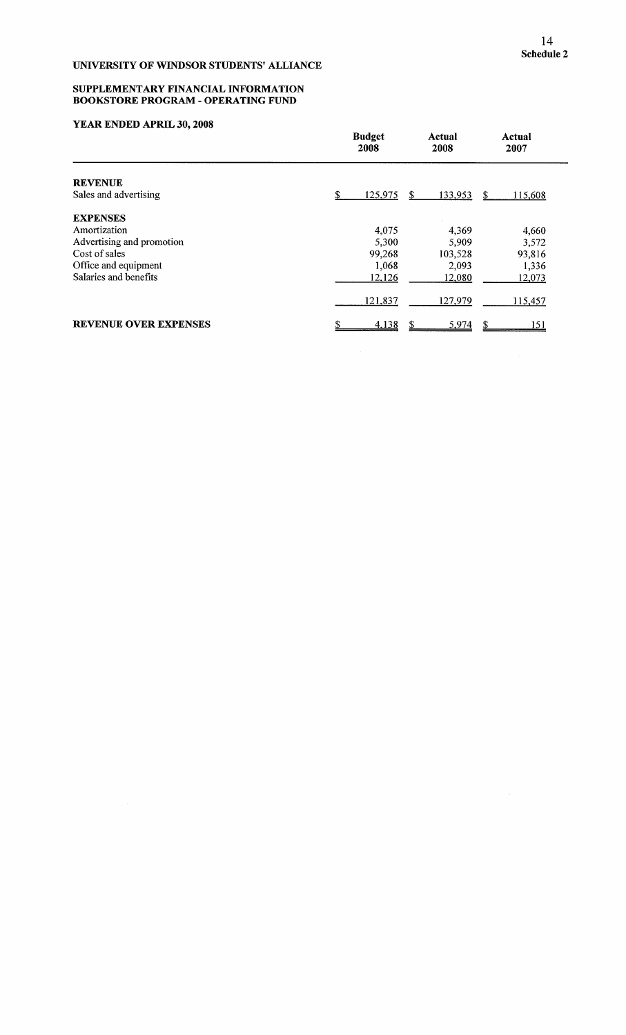#### **SUPPLEMENTARY FINANCIAL INFORMATION BOOKSTORE PROGRAM - OPERATING FUND**

|                              | <b>Budget</b><br>2008 | Actual<br>2008 | Actual<br>2007 |
|------------------------------|-----------------------|----------------|----------------|
| <b>REVENUE</b>               |                       |                |                |
| Sales and advertising        | 125,975               | 133,953<br>S   | S.<br>115,608  |
| <b>EXPENSES</b>              |                       |                |                |
| Amortization                 | 4,075                 | 4,369          | 4,660          |
| Advertising and promotion    | 5,300                 | 5,909          | 3,572          |
| Cost of sales                | 99,268                | 103,528        | 93,816         |
| Office and equipment         | 1,068                 | 2,093          | 1,336          |
| Salaries and benefits        | 12,126                | 12,080         | 12,073         |
|                              | 121,837               | 127,979        | 115,457        |
| <b>REVENUE OVER EXPENSES</b> | 4,138                 | 5,974<br>S     | <u> 151</u>    |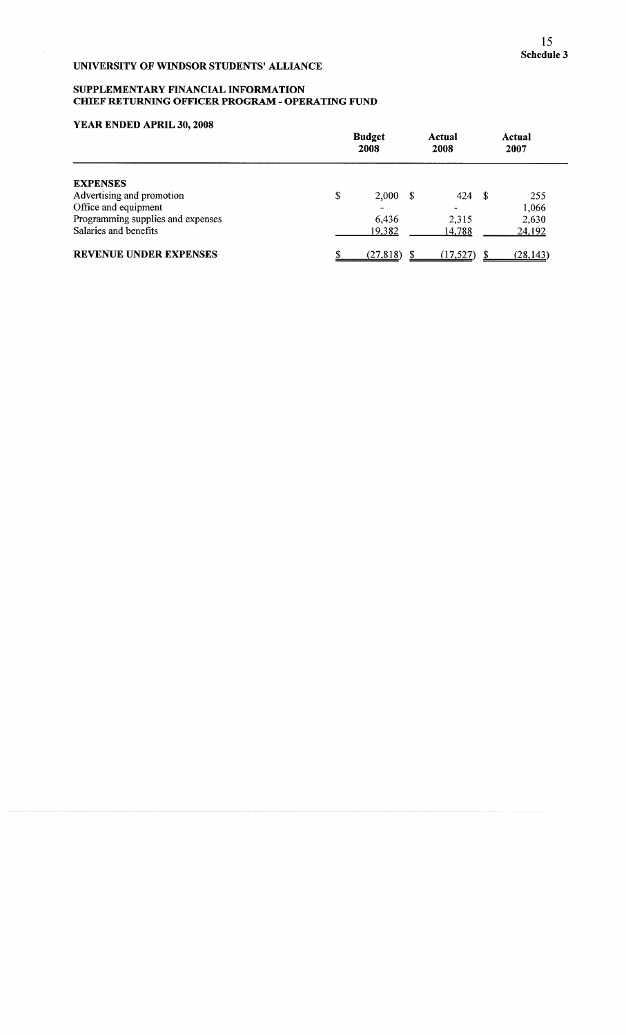#### SUPPLEMENTARY FINANCIAL INFORMATION CHIEF RETURNING OFFICER PROGRAM - OPERATING FUND

|                                   | <b>Budget</b><br>2008 |      | Actual<br>2008 |      | Actual<br>2007 |
|-----------------------------------|-----------------------|------|----------------|------|----------------|
| <b>EXPENSES</b>                   |                       |      |                |      |                |
| Advertising and promotion         | \$<br>2,000           | - \$ | 424            | - \$ | 255            |
| Office and equipment              |                       |      |                |      | 1,066          |
| Programming supplies and expenses | 6,436                 |      | 2.315          |      | 2,630          |
| Salaries and benefits             | 19,382                |      | 14,788         |      | 24,192         |
| <b>REVENUE UNDER EXPENSES</b>     | (27, 818)             |      | (17, 527)      |      | (28, 143)      |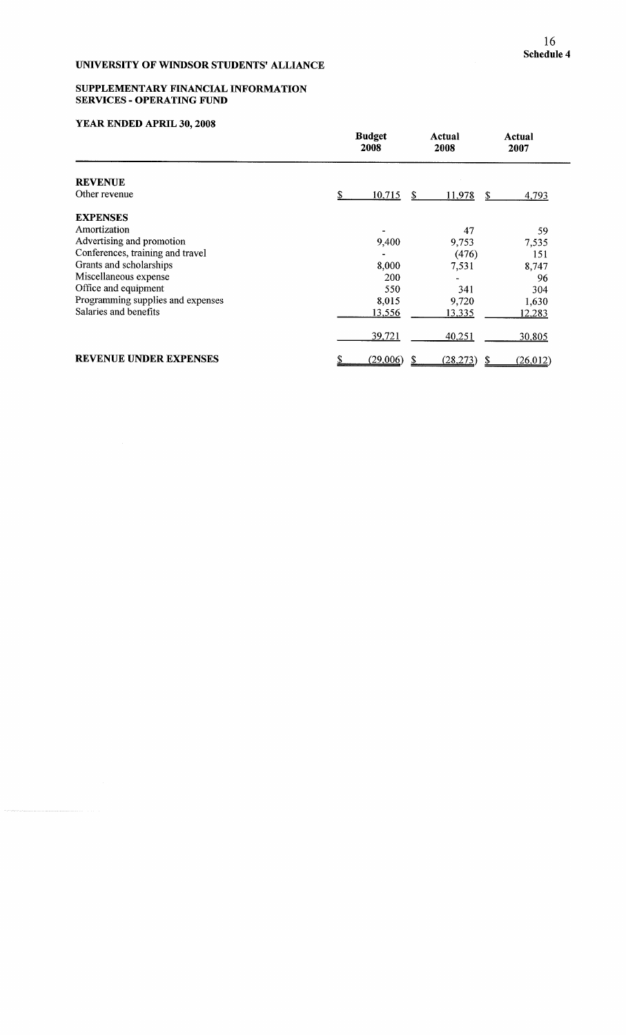#### SUPPLEMENTARY FINANCIAL INFORMATION SERVICES **-** OPERATING FUND

|                                   | <b>Budget</b><br>2008 | Actual<br>2008 | Actual<br>2007  |
|-----------------------------------|-----------------------|----------------|-----------------|
| <b>REVENUE</b>                    |                       |                |                 |
| Other revenue                     | \$<br>10,715<br>S     | 11,978         | 4,793<br>\$     |
| <b>EXPENSES</b>                   |                       |                |                 |
| Amortization                      |                       | 47             | 59              |
| Advertising and promotion         | 9,400                 | 9,753          | 7,535           |
| Conferences, training and travel  |                       | (476)          | 151             |
| Grants and scholarships           | 8,000                 | 7,531          | 8,747           |
| Miscellaneous expense             | 200                   |                | 96              |
| Office and equipment              | 550                   | 341            | 304             |
| Programming supplies and expenses | 8,015                 | 9,720          | 1,630           |
| Salaries and benefits             | 13,556                | <u>13,335</u>  | 12,283          |
|                                   | 39,721                | 40,251         | 30,805          |
| <b>REVENUE UNDER EXPENSES</b>     | (29,006)              | (28, 273)      | (26, 012)<br>\$ |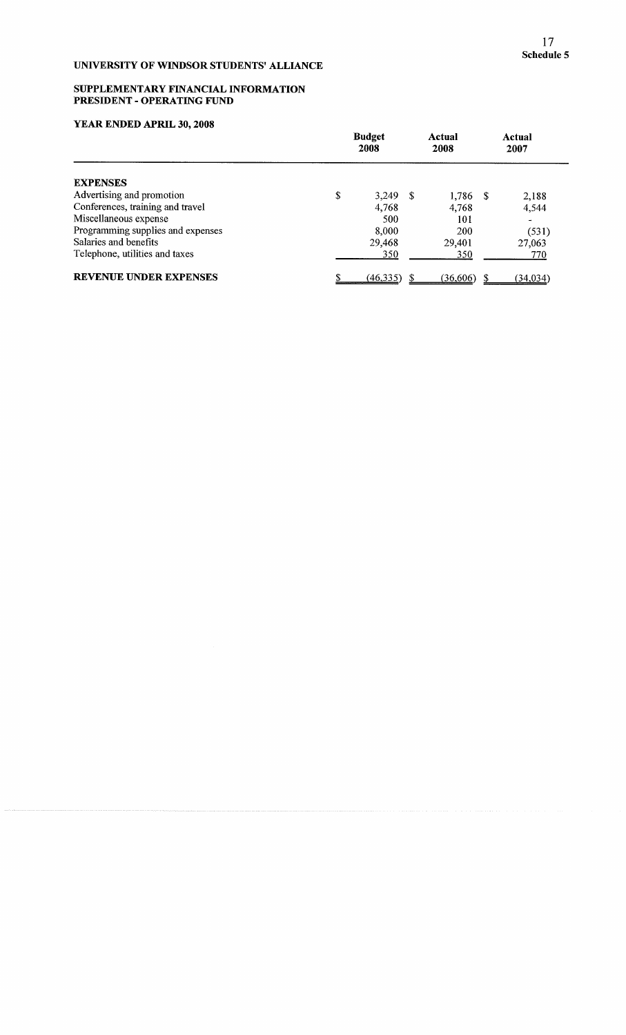#### SUPPLEMENTARY FINANCIAL INFORMATION PRESIDENT **-** OPERATING FUND

| YEAR ENDED APRIL 30, 2008         |                       |            |                |  |                 |  |
|-----------------------------------|-----------------------|------------|----------------|--|-----------------|--|
|                                   | <b>Budget</b><br>2008 |            | Actual<br>2008 |  | Actual<br>2007  |  |
| <b>EXPENSES</b>                   |                       |            |                |  |                 |  |
| Advertising and promotion         | \$                    | $3.249$ \$ | $1,786$ \$     |  | 2,188           |  |
| Conferences, training and travel  |                       | 4,768      | 4.768          |  | 4,544           |  |
| Miscellaneous expense             |                       | 500        | 101            |  |                 |  |
| Programming supplies and expenses |                       | 8.000      | 200            |  | (531)           |  |
| Salaries and benefits             |                       | 29,468     | 29,401         |  | 27,063          |  |
| Telephone, utilities and taxes    |                       | 350        | 350            |  | 770             |  |
| <b>REVENUE UNDER EXPENSES</b>     |                       | (46,335)   | (36,606)       |  | <u>(34,034)</u> |  |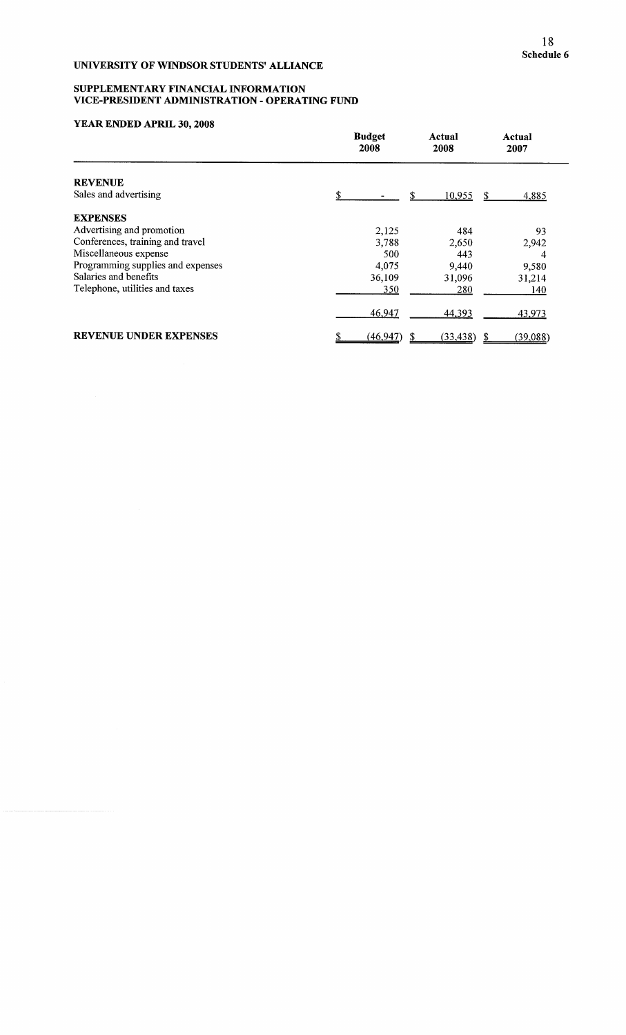#### SUPPLEMENTARY FINANCIAL INFORMATION VICE-PRESIDENT ADMINISTRATION - OPERATING FUND

|                                   | <b>Budget</b><br>2008 | Actual<br>2008 | Actual<br>2007         |
|-----------------------------------|-----------------------|----------------|------------------------|
| <b>REVENUE</b>                    |                       |                |                        |
| Sales and advertising             | S                     | S<br>10,955    | <sup>\$</sup><br>4,885 |
| <b>EXPENSES</b>                   |                       |                |                        |
| Advertising and promotion         | 2,125                 | 484            | 93                     |
| Conferences, training and travel  | 3,788                 | 2,650          | 2,942                  |
| Miscellaneous expense             | 500                   | 443            | 4                      |
| Programming supplies and expenses | 4,075                 | 9,440          | 9,580                  |
| Salaries and benefits             | 36,109                | 31,096         | 31,214                 |
| Telephone, utilities and taxes    | 350                   | 280            | 140                    |
|                                   | 46,947                | 44,393         | 43,973                 |
| <b>REVENUE UNDER EXPENSES</b>     | (46, 947)             | (33, 438)      | (39,088)               |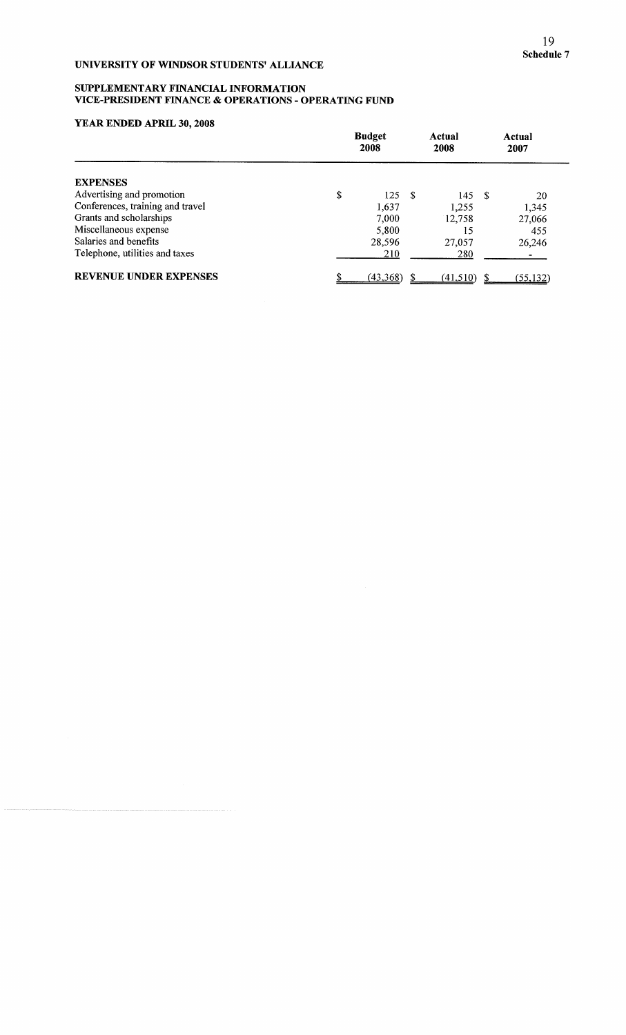### SUPPLEMENTARY FINANCIAL INFORMATION VICE-PRESIDENT FINANCE & OPERATIONS - OPERATING FUND

| 1 DAYS DIAD DD AN INID 90, 2000  | <b>Budget</b><br>2008 |     | Actual<br>2008 | Actual<br>2007  |  |
|----------------------------------|-----------------------|-----|----------------|-----------------|--|
| <b>EXPENSES</b>                  |                       |     |                |                 |  |
| Advertising and promotion        | \$<br>125             | - S | 145S           | 20              |  |
| Conferences, training and travel | 1,637                 |     | 1,255          | 1,345           |  |
| Grants and scholarships          | 7,000                 |     | 12,758         | 27,066          |  |
| Miscellaneous expense            | 5,800                 |     | 15             | 455             |  |
| Salaries and benefits            | 28,596                |     | 27,057         | 26,246          |  |
| Telephone, utilities and taxes   | 210                   |     | 280            |                 |  |
| <b>REVENUE UNDER EXPENSES</b>    | (43,368)              |     | (41,510)       | <u>(55,132)</u> |  |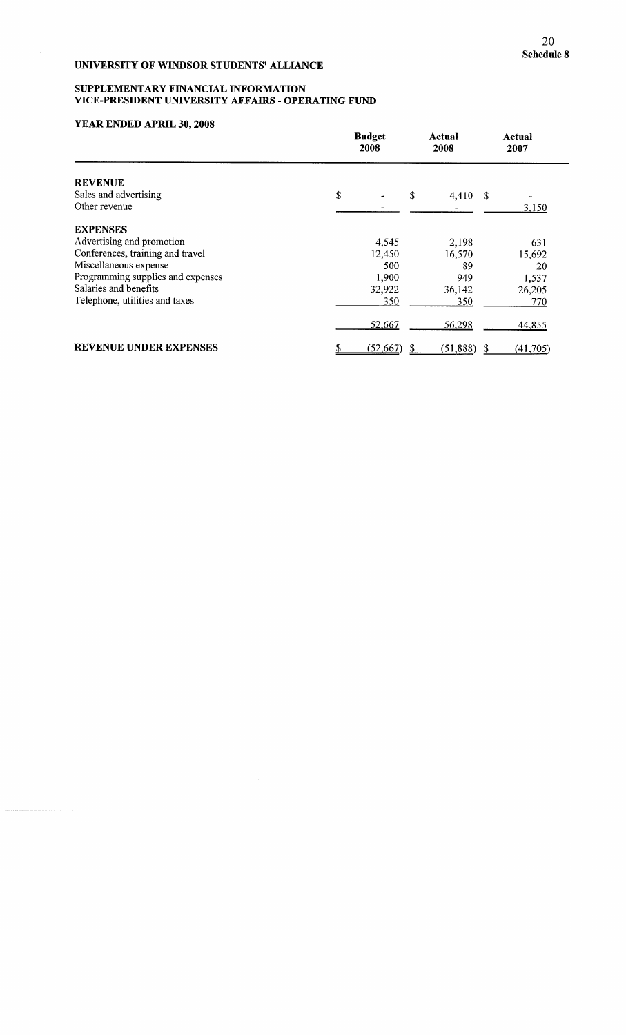#### SUPPLEMENTARY FINANCIAL INFORMATIO VICE-PRESIDENT UNIVERSITY AFFAIRS - OPERATING FUND

|                                   | <b>Budget</b><br>2008 | Actual<br>2008 | Actual<br>2007 |
|-----------------------------------|-----------------------|----------------|----------------|
| <b>REVENUE</b>                    |                       |                |                |
| Sales and advertising             | \$                    | \$<br>4,410 \$ |                |
| Other revenue                     |                       |                | 3,150          |
| <b>EXPENSES</b>                   |                       |                |                |
| Advertising and promotion         | 4,545                 | 2,198          | 631            |
| Conferences, training and travel  | 12,450                | 16,570         | 15,692         |
| Miscellaneous expense             | 500                   | 89             | 20             |
| Programming supplies and expenses | 1,900                 | 949            | 1,537          |
| Salaries and benefits             | 32,922                | 36,142         | 26,205         |
| Telephone, utilities and taxes    | 350                   | 350            | 770            |
|                                   | 52,667                | 56,298         | 44,855         |
| <b>REVENUE UNDER EXPENSES</b>     | (52, 667)             | (51, 888)      | (41, 705)      |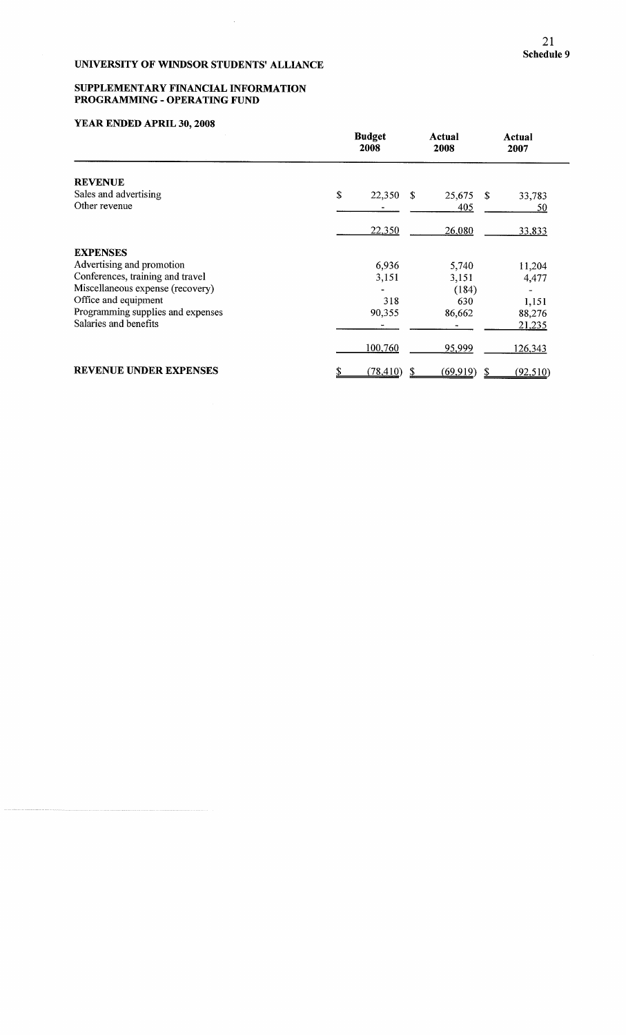$\mathcal{A}^{\mathcal{A}}$ 

#### SUPPLEMENTARY FINANCIAL INFORMATION PROGRAMMING - OPERATING FUNI

|                                        | <b>Budget</b><br>2008 | Actual<br>2008 | Actual<br>2007 |
|----------------------------------------|-----------------------|----------------|----------------|
| <b>REVENUE</b>                         |                       |                |                |
| Sales and advertising<br>Other revenue | \$<br>22,350<br>-S    | 25,675         | -S<br>33,783   |
|                                        |                       | 405            | 50             |
|                                        | 22,350                | 26,080         | 33,833         |
| <b>EXPENSES</b>                        |                       |                |                |
| Advertising and promotion              | 6,936                 | 5,740          | 11,204         |
| Conferences, training and travel       | 3,151                 | 3,151          | 4,477          |
| Miscellaneous expense (recovery)       |                       | (184)          |                |
| Office and equipment                   | 318                   | 630            | 1,151          |
| Programming supplies and expenses      | 90,355                | 86,662         | 88,276         |
| Salaries and benefits                  |                       |                | 21,235         |
|                                        | 100,760               | 95,999         | 126,343        |
| <b>REVENUE UNDER EXPENSES</b>          | (78, 410)<br>S.       | (69, 919)      | S<br>(92,510)  |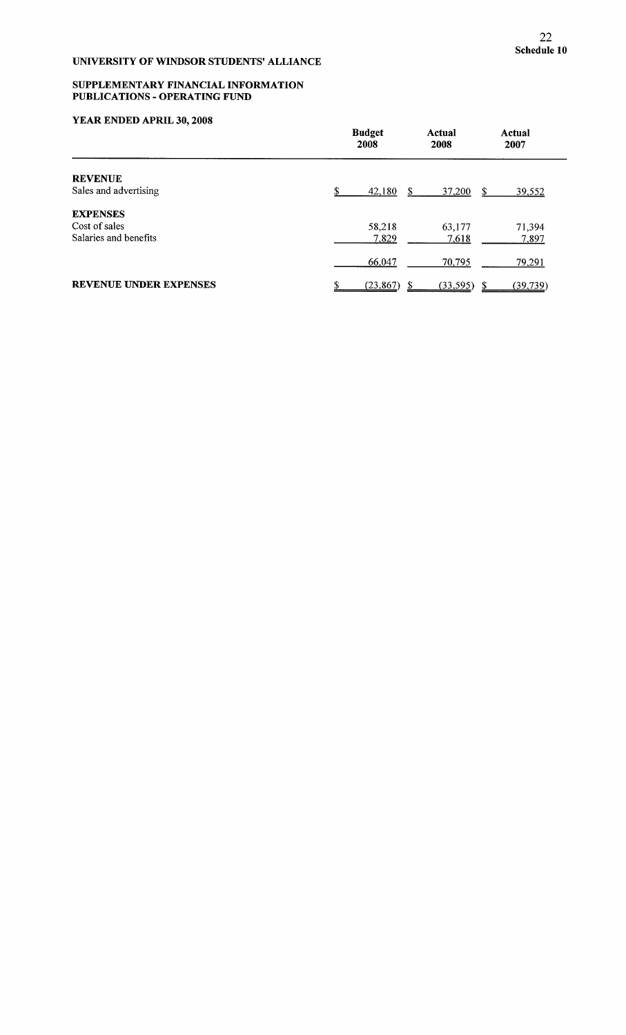#### **SUPPLEMENTARY FINANCIAL INFORMATIO PUBLICATIONS - OPERATING FUND**

|                               | <b>Budget</b><br>2008 | Actual<br>2008 | Actual<br>2007 |
|-------------------------------|-----------------------|----------------|----------------|
| <b>REVENUE</b>                |                       |                |                |
| Sales and advertising         | £.<br>42,180          | 37,200<br>S.   | 39,552<br>S.   |
| <b>EXPENSES</b>               |                       |                |                |
| Cost of sales                 | 58,218                | 63,177         | 71,394         |
| Salaries and benefits         | 7,829                 | 7,618          | 7,897          |
|                               | 66,047                | 70,795         | 79,291         |
| <b>REVENUE UNDER EXPENSES</b> | (23, 867)             | (33, 595)<br>S | (39, 739)      |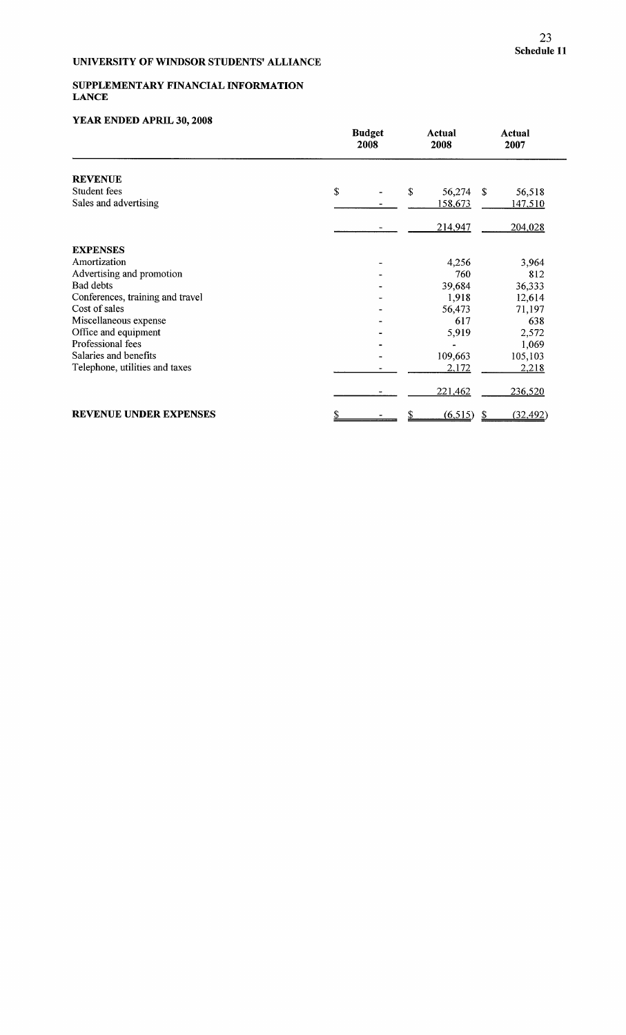### SUPPLEMENTARY FINANCIAL INFORMATION LANCE

|                                  | <b>Budget</b><br>2008 |    | Actual<br>2008 |     | <b>Actual</b><br>2007 |  |
|----------------------------------|-----------------------|----|----------------|-----|-----------------------|--|
| <b>REVENUE</b>                   |                       |    |                |     |                       |  |
| Student fees                     | \$                    | \$ | 56,274         | -\$ | 56,518                |  |
| Sales and advertising            |                       |    | 158,673        |     | 147,510               |  |
|                                  |                       |    | 214,947        |     | 204,028               |  |
| <b>EXPENSES</b>                  |                       |    |                |     |                       |  |
| Amortization                     |                       |    | 4,256          |     | 3,964                 |  |
| Advertising and promotion        |                       |    | 760            |     | 812                   |  |
| <b>Bad debts</b>                 |                       |    | 39,684         |     | 36,333                |  |
| Conferences, training and travel |                       |    | 1,918          |     | 12,614                |  |
| Cost of sales                    |                       |    | 56,473         |     | 71,197                |  |
| Miscellaneous expense            |                       |    | 617            |     | 638                   |  |
| Office and equipment             |                       |    | 5,919          |     | 2,572                 |  |
| Professional fees                |                       |    |                |     | 1,069                 |  |
| Salaries and benefits            |                       |    | 109,663        |     | 105,103               |  |
| Telephone, utilities and taxes   |                       |    | 2,172          |     | 2,218                 |  |
|                                  |                       |    | 221,462        |     | 236,520               |  |
| <b>REVENUE UNDER EXPENSES</b>    |                       |    | (6,515)        | \$  | (32, 492)             |  |